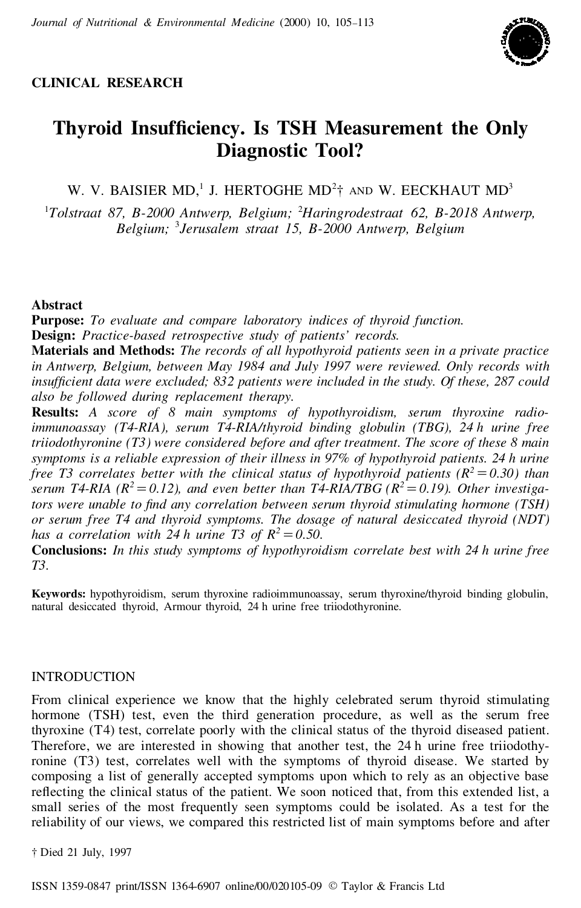

# **CLINICAL RESEARCH**

# **Thyroid Insuf ciency. Is TSH Measurement the Only Diagnostic Tool?**

W. V. BAISIER MD,<sup>1</sup> J. HERTOGHE MD<sup>2</sup><sup>†</sup> AND W. EECKHAUT MD<sup>3</sup>

<sup>1</sup>*Tolstraat 87, B-2000 Antwerp, Belgium;* <sup>2</sup>*Haringrodestraat 62, B-2018 Antwerp, Belgium;* <sup>3</sup>*Jerusalem straat 15, B-2000 Antwerp, Belgium*

# **Abstract**

**Purpose:** *To evaluate and compare laboratory indices of thyroid function.* **Design:** *Practice-based retrospective study of patients' records.*

**Materials and Methods:** *The records of all hypothyroid patients seen in a private practice in Antwerp, Belgium, between May 1984 and July 1997 were reviewed. Only records with insuf cient data were excluded; 832 patients were included in the study. Of these, 287 could also be followed during replacement therapy.*

**Results:** *A score of 8 main symptoms of hypothyroidism, serum thyroxine radioimmunoassay (T4-RIA), serum T4-RIA/thyroid binding globulin (TBG), 24 h urine free triiodothyronine (T3) were considered before and after treatment. The score of these 8 main symptoms is a reliable expression of their illness in 97% of hypothyroid patients. 24 h urine free T3 correlates better with the clinical status of hypothyroid patients*  $(R^2 = 0.30)$  *than serum T4-RIA*  $(R^2 = 0.12)$ , and *even better than T4-RIA/TBG*  $(R^2 = 0.19)$ . *Other investigators were unable to nd any correlation between serum thyroid stimulating hormone (TSH) or serum free T4 and thyroid symptoms. The dosage of natural desiccated thyroid (NDT) has a correlation with* 24 *h urine* T3 *of*  $R^2 = 0.50$ .

**Conclusions:** *In this study symptoms of hypothyroidism correlate best with 24 h urine free T3.*

**Keywords:** hypothyroidism, serum thyroxine radioimmunoassay, serum thyroxine/thyroid binding globulin, natural desiccated thyroid, Armour thyroid, 24 h urine free triiodothyronine.

# INTRODUCTION

From clinical experience we know that the highly celebrated serum thyroid stimulating hormone (TSH) test, even the third generation procedure, as well as the serum free thyroxine (T4) test, correlate poorly with the clinical status of the thyroid diseased patient. Therefore, we are interested in showing that another test, the 24 h urine free triiodothyronine (T3) test, correlates well with the symptoms of thyroid disease. We started by composing a list of generally accepted symptoms upon which to rely as an objective base reflecting the clinical status of the patient. We soon noticed that, from this extended list, a small series of the most frequently seen symptoms could be isolated. As a test for the reliability of our views, we compared this restricted list of main symptoms before and after

† Died 21 July, 1997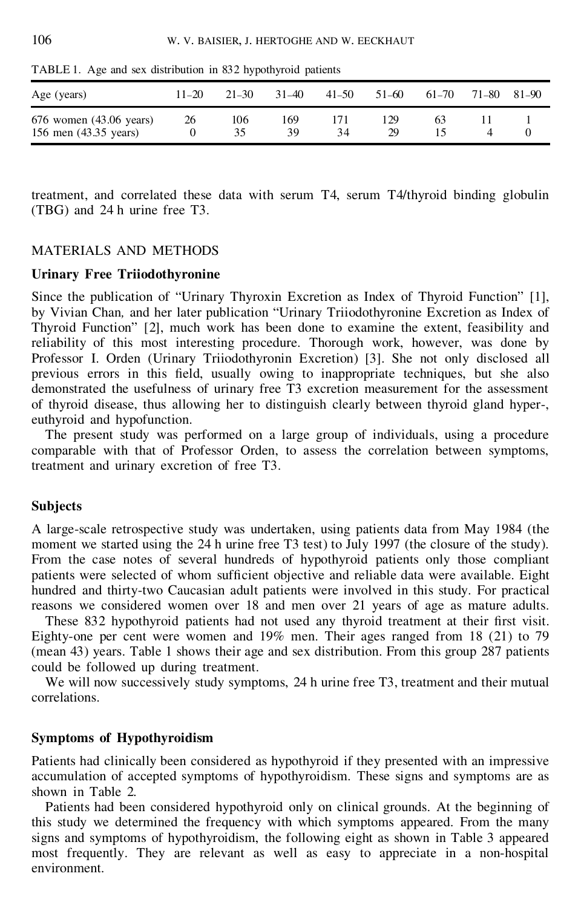| Age (years)                                      | $11 - 20$ | $21 - 30$ | $31 - 40$ | $41 - 50$ | 51-60     | 61-70 | 71–80 | 81-90 |
|--------------------------------------------------|-----------|-----------|-----------|-----------|-----------|-------|-------|-------|
| 676 women (43.06 years)<br>156 men (43.35 years) | 26        | 106<br>35 | 169<br>39 | 34        | 129<br>29 | 63    |       |       |

TABLE 1. Age and sex distribution in 832 hypothyroid patients

treatment, and correlated these data with serum T4, serum T4/thyroid binding globulin (TBG) and 24 h urine free T3.

# MATERIALS AND METHODS

# **Urinary Free Triiodothyronine**

Since the publication of "Urinary Thyroxin Excretion as Index of Thyroid Function" [1], by Vivian Chan*,* and her later publication "Urinary Triiodothyronine Excretion as Index of Thyroid Function" [2], much work has been done to examine the extent, feasibility and reliability of this most interesting procedure. Thorough work, however, was done by Professor I. Orden (Urinary Triiodothyronin Excretion) [3]. She not only disclosed all previous errors in this field, usually owing to inappropriate techniques, but she also demonstrated the usefulness of urinary free T3 excretion measurement for the assessment of thyroid disease, thus allowing her to distinguish clearly between thyroid gland hyper-, euthyroid and hypofunction.

The present study was performed on a large group of individuals, using a procedure comparable with that of Professor Orden, to assess the correlation between symptoms, treatment and urinary excretion of free T3.

## **Subjects**

A large-scale retrospective study was undertaken, using patients data from May 1984 (the moment we started using the 24 h urine free T3 test) to July 1997 (the closure of the study). From the case notes of several hundreds of hypothyroid patients only those compliant patients were selected of whom sufficient objective and reliable data were available. Eight hundred and thirty-two Caucasian adult patients were involved in this study. For practical reasons we considered women over 18 and men over 21 years of age as mature adults.

These 832 hypothyroid patients had not used any thyroid treatment at their first visit. Eighty-one per cent were women and 19% men. Their ages ranged from 18 (21) to 79 (mean 43) years. Table 1 shows their age and sex distribution. From this group 287 patients could be followed up during treatment.

We will now successively study symptoms, 24 h urine free T3, treatment and their mutual correlations.

#### **Symptoms of Hypothyroidism**

Patients had clinically been considered as hypothyroid if they presented with an impressive accumulation of accepted symptoms of hypothyroidism. These signs and symptoms are as shown in Table 2.

Patients had been considered hypothyroid only on clinical grounds. At the beginning of this study we determined the frequency with which symptoms appeared. From the many signs and symptoms of hypothyroidism, the following eight as shown in Table 3 appeared most frequently. They are relevant as well as easy to appreciate in a non-hospital environment.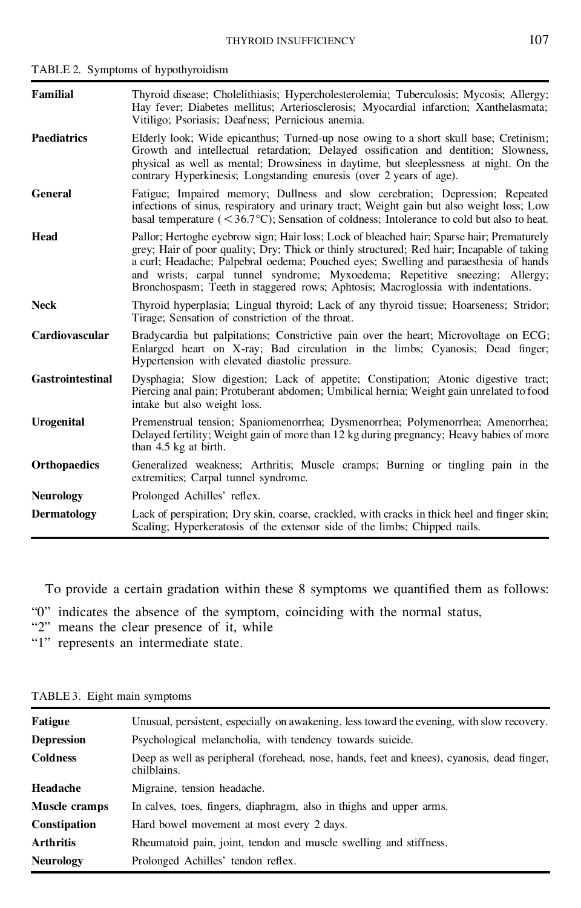| <b>Familial</b>         | Thyroid disease; Cholelithiasis; Hypercholesterolemia; Tuberculosis; Mycosis; Allergy;<br>Hay fever; Diabetes mellitus; Arteriosclerosis; Myocardial infarction; Xanthelasmata;<br>Vitiligo; Psoriasis; Deafness; Pernicious anemia.                                                                                                                                                                                                                |
|-------------------------|-----------------------------------------------------------------------------------------------------------------------------------------------------------------------------------------------------------------------------------------------------------------------------------------------------------------------------------------------------------------------------------------------------------------------------------------------------|
| <b>Paediatrics</b>      | Elderly look; Wide epicanthus; Turned-up nose owing to a short skull base; Cretinism;<br>Growth and intellectual retardation; Delayed ossification and dentition; Slowness,<br>physical as well as mental; Drowsiness in daytime, but sleeplessness at night. On the<br>contrary Hyperkinesis; Longstanding enuresis (over 2 years of age).                                                                                                         |
| General                 | Fatigue; Impaired memory; Dullness and slow cerebration; Depression; Repeated<br>infections of sinus, respiratory and urinary tract; Weight gain but also weight loss; Low<br>basal temperature $(< 36.7^{\circ}C)$ ; Sensation of coldness; Intolerance to cold but also to heat.                                                                                                                                                                  |
| Head                    | Pallor; Hertoghe eyebrow sign; Hair loss; Lock of bleached hair; Sparse hair; Prematurely<br>grey; Hair of poor quality; Dry; Thick or thinly structured; Red hair; Incapable of taking<br>a curl; Headache; Palpebral oedema; Pouched eyes; Swelling and paraesthesia of hands<br>and wrists; carpal tunnel syndrome; Myxoedema; Repetitive sneezing; Allergy;<br>Bronchospasm; Teeth in staggered rows; Aphtosis; Macroglossia with indentations. |
| <b>Neck</b>             | Thyroid hyperplasia; Lingual thyroid; Lack of any thyroid tissue; Hoarseness; Stridor;<br>Tirage; Sensation of constriction of the throat.                                                                                                                                                                                                                                                                                                          |
| Cardiovascular          | Bradycardia but palpitations; Constrictive pain over the heart; Microvoltage on ECG;<br>Enlarged heart on X-ray; Bad circulation in the limbs; Cyanosis; Dead finger;<br>Hypertension with elevated diastolic pressure.                                                                                                                                                                                                                             |
| <b>Gastrointestinal</b> | Dysphagia; Slow digestion; Lack of appetite; Constipation; Atonic digestive tract;<br>Piercing anal pain; Protuberant abdomen; Umbilical hernia; Weight gain unrelated to food<br>intake but also weight loss.                                                                                                                                                                                                                                      |
| <b>Urogenital</b>       | Premenstrual tension; Spaniomenorrhea; Dysmenorrhea; Polymenorrhea; Amenorrhea;<br>Delayed fertility; Weight gain of more than 12 kg during pregnancy; Heavy babies of more<br>than 4.5 kg at birth.                                                                                                                                                                                                                                                |
| <b>Orthopaedics</b>     | Generalized weakness; Arthritis; Muscle cramps; Burning or tingling pain in the<br>extremities; Carpal tunnel syndrome.                                                                                                                                                                                                                                                                                                                             |
| <b>Neurology</b>        | Prolonged Achilles' reflex.                                                                                                                                                                                                                                                                                                                                                                                                                         |
| <b>Dermatology</b>      | Lack of perspiration; Dry skin, coarse, crackled, with cracks in thick heel and finger skin;<br>Scaling; Hyperkeratosis of the extensor side of the limbs; Chipped nails.                                                                                                                                                                                                                                                                           |

TABLE 2. Symptoms of hypothyroidism

To provide a certain gradation within these 8 symptoms we quantified them as follows:

- "0" indicates the absence of the symptom, coinciding with the normal status,
- "2" means the clear presence of it, while
- "1" represents an intermediate state.

| Fatigue             | Unusual, persistent, especially on awakening, less toward the evening, with slow recovery.                |
|---------------------|-----------------------------------------------------------------------------------------------------------|
| <b>Depression</b>   | Psychological melancholia, with tendency towards suicide.                                                 |
| <b>Coldness</b>     | Deep as well as peripheral (forehead, nose, hands, feet and knees), cyanosis, dead finger,<br>chilblains. |
| Headache            | Migraine, tension headache.                                                                               |
| Muscle cramps       | In calves, toes, fingers, diaphragm, also in thighs and upper arms.                                       |
| <b>Constipation</b> | Hard bowel movement at most every 2 days.                                                                 |
| <b>Arthritis</b>    | Rheumatoid pain, joint, tendon and muscle swelling and stiffness.                                         |
| <b>Neurology</b>    | Prolonged Achilles' tendon reflex.                                                                        |

TABLE 3. Eight main symptoms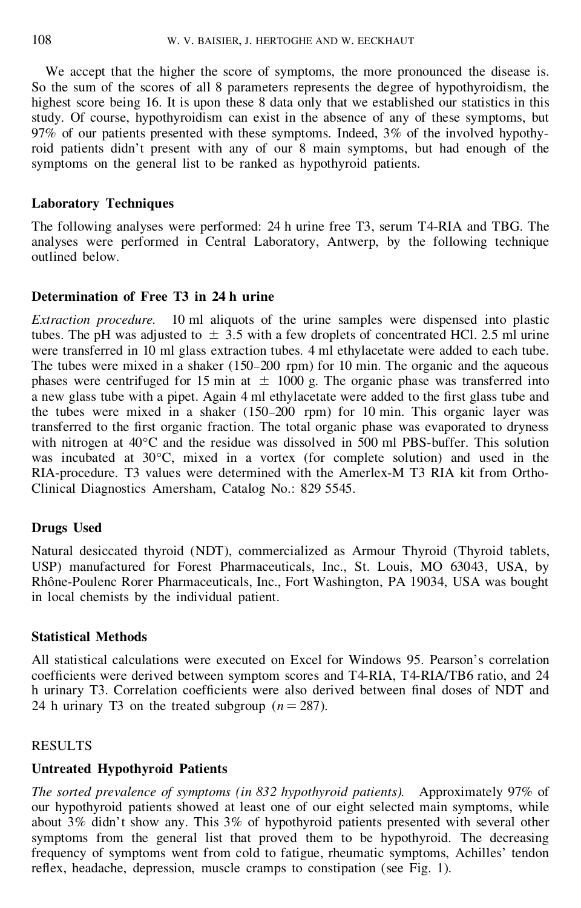We accept that the higher the score of symptoms, the more pronounced the disease is. So the sum of the scores of all 8 parameters represents the degree of hypothyroidism, the highest score being 16. It is upon these 8 data only that we established our statistics in this study. Of course, hypothyroidism can exist in the absence of any of these symptoms, but 97% of our patients presented with these symptoms. Indeed, 3% of the involved hypothyroid patients didn't present with any of our 8 main symptoms, but had enough of the symptoms on the general list to be ranked as hypothyroid patients.

# **Laboratory Techniques**

The following analyses were performed: 24 h urine free T3, serum T4-RIA and TBG. The analyses were performed in Central Laboratory, Antwerp, by the following technique outlined below.

# **Determination of Free T3 in 24 h urine**

*Extraction procedure.* 10 ml aliquots of the urine samples were dispensed into plastic tubes. The pH was adjusted to  $\pm$  3.5 with a few droplets of concentrated HCl. 2.5 ml urine were transferred in 10 ml glass extraction tubes. 4 ml ethylacetate were added to each tube. The tubes were mixed in a shaker (150–200 rpm) for 10 min. The organic and the aqueous phases were centrifuged for 15 min at  $\pm$  1000 g. The organic phase was transferred into a new glass tube with a pipet. Again 4 ml ethylacetate were added to the first glass tube and the tubes were mixed in a shaker (150–200 rpm) for 10 min. This organic layer was transferred to the first organic fraction. The total organic phase was evaporated to dryness with nitrogen at 40°C and the residue was dissolved in 500 ml PBS-buffer. This solution was incubated at 30°C, mixed in a vortex (for complete solution) and used in the RIA-procedure. T3 values were determined with the Amerlex-M T3 RIA kitfrom Ortho-Clinical Diagnostics Amersham, Catalog No.: 829 5545.

# **Drugs Used**

Natural desiccated thyroid (NDT), commercialized as Armour Thyroid (Thyroid tablets, USP) manufactured for Forest Pharmaceuticals, Inc., St. Louis, MO 63043, USA, by Rhône-Poulenc Rorer Pharmaceuticals, Inc., Fort Washington, PA 19034, USA was bought in local chemists by the individual patient.

## **Statistical Methods**

All statistical calculations were executed on Excel for Windows 95. Pearson's correlation coefficients were derived between symptom scores and T4-RIA, T4-RIA/TB6 ratio, and 24 h urinary T3. Correlation coefficients were also derived between final doses of NDT and 24 h urinary T3 on the treated subgroup  $(n=287)$ .

# RESULTS

# **Untreated Hypothyroid Patients**

*The sorted prevalence of symptoms (in 832 hypothyroid patients).* Approximately 97% of our hypothyroid patients showed at least one of our eight selected main symptoms, while about 3% didn't show any. This 3% of hypothyroid patients presented with several other symptoms from the general list that proved them to be hypothyroid. The decreasing frequency of symptoms went from cold to fatigue, rheumatic symptoms, Achilles' tendon reflex, headache, depression, muscle cramps to constipation (see Fig. 1).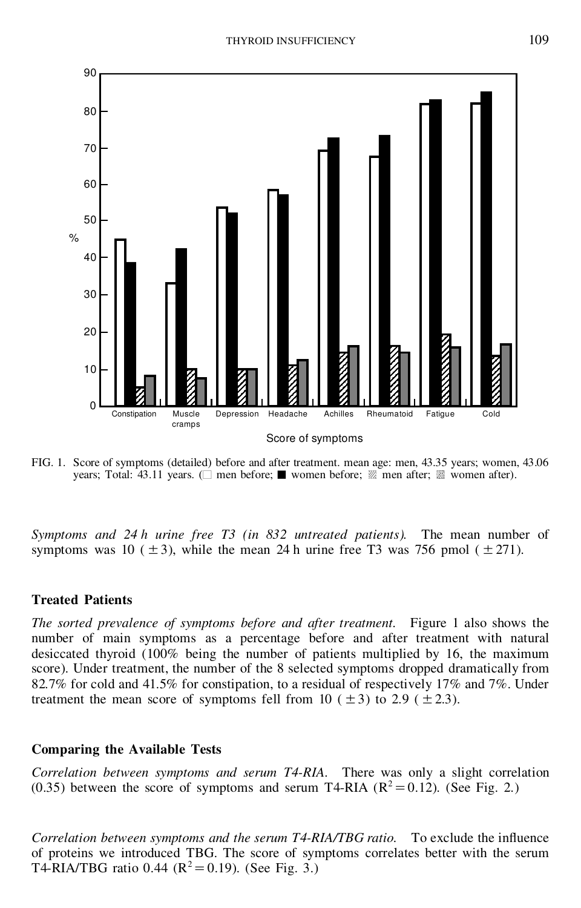

FIG. 1. Score of symptoms (detailed) before and after treatment. mean age: men, 43.35 years; women, 43.06 years; Total: 43.11 years. ( $\square$  men before;  $\blacksquare$  women before;  $\mathbb Z$  men after;  $\mathbb R$  women after).

*Symptoms and 24 h urine free T3 (in 832 untreated patients).* The mean number of symptoms was 10 ( $\pm$ 3), while the mean 24 h urine free T3 was 756 pmol ( $\pm$ 271).

### **Treated Patients**

*The sorted prevalence of symptoms before and after treatment.* Figure 1 also shows the number of main symptoms as a percentage before and after treatment with natural desiccated thyroid (100% being the number of patients multiplied by 16, the maximum score). Under treatment, the number of the 8 selected symptoms dropped dramatically from 82.7% for cold and 41.5% for constipation, to a residual of respectively 17% and 7%. Under treatment the mean score of symptoms fell from 10 ( $\pm$ 3) to 2.9 ( $\pm$ 2.3).

#### **Comparing the Available Tests**

*Correlation between symptoms and serum T4-RIA.* There was only a slight correlation (0.35) between the score of symptoms and serum T4-RIA ( $R^2 = 0.12$ ). (See Fig. 2.)

*Correlation between symptoms and the serum T4-RIA/TBG ratio.* To exclude the influence of proteins we introduced TBG. The score of symptoms correlates better with the serum T4-RIA/TBG ratio 0.44 ( $R^2 = 0.19$ ). (See Fig. 3.)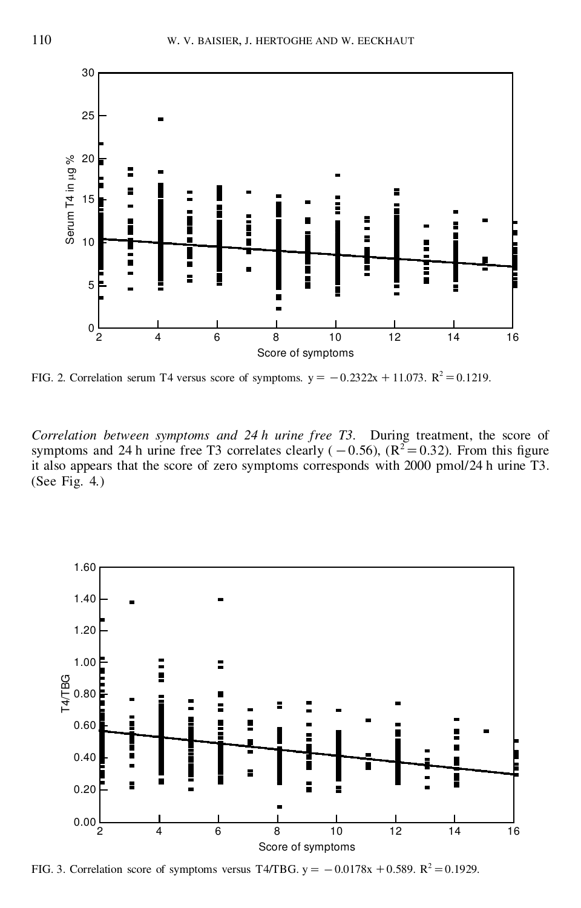

FIG. 2. Correlation serum T4 versus score of symptoms.  $y = -0.2322x + 11.073$ .  $R^2 = 0.1219$ .

*Correlation between symptoms and 24 h urine free T3.* During treatment, the score of symptoms and 24 h urine free T3 correlates clearly ( $-0.56$ ), ( $R^2 = 0.32$ ). From this figure it also appears that the score of zero symptoms corresponds with 2000 pmol/24 h urine T3. (See Fig. 4.)



FIG. 3. Correlation score of symptoms versus T4/TBG.  $y = -0.0178x + 0.589$ .  $R^2 = 0.1929$ .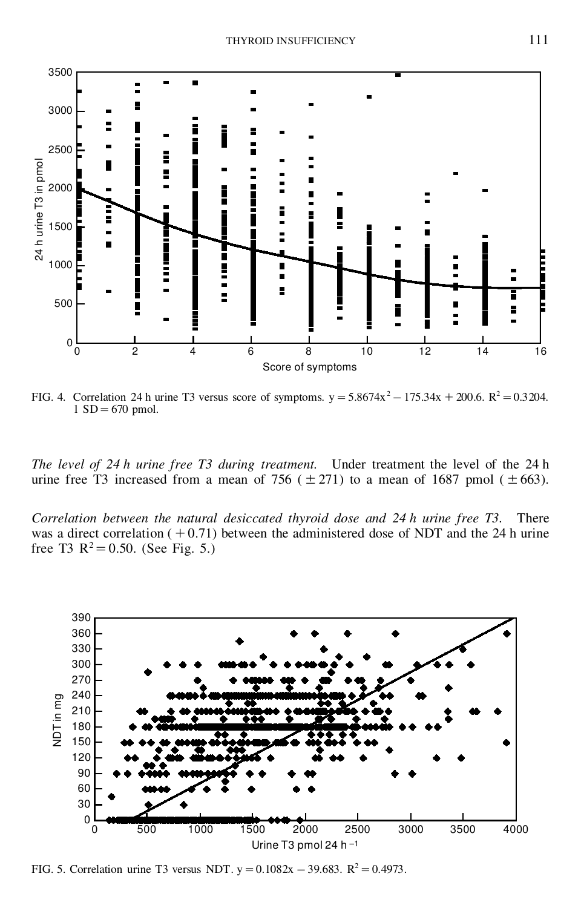

FIG. 4. Correlation 24 h urine T3 versus score of symptoms.  $y = 5.8674x^2 - 175.34x + 200.6$ .  $R^2 = 0.3204$ .  $1 SD = 670$  pmol.

*The level of 24 h urine free T3 during treatment.* Under treatment the level of the 24 h urine free T3 increased from a mean of 756 ( $\pm$ 271) to a mean of 1687 pmol ( $\pm$ 663).

*Correlation between the natural desiccated thyroid dose and 24 h urine free T3.* There was a direct correlation  $(+0.71)$  between the administered dose of NDT and the 24 h urine free T3  $R^2 = 0.50$ . (See Fig. 5.)



FIG. 5. Correlation urine T3 versus NDT.  $y = 0.1082x - 39.683$ .  $R^2 = 0.4973$ .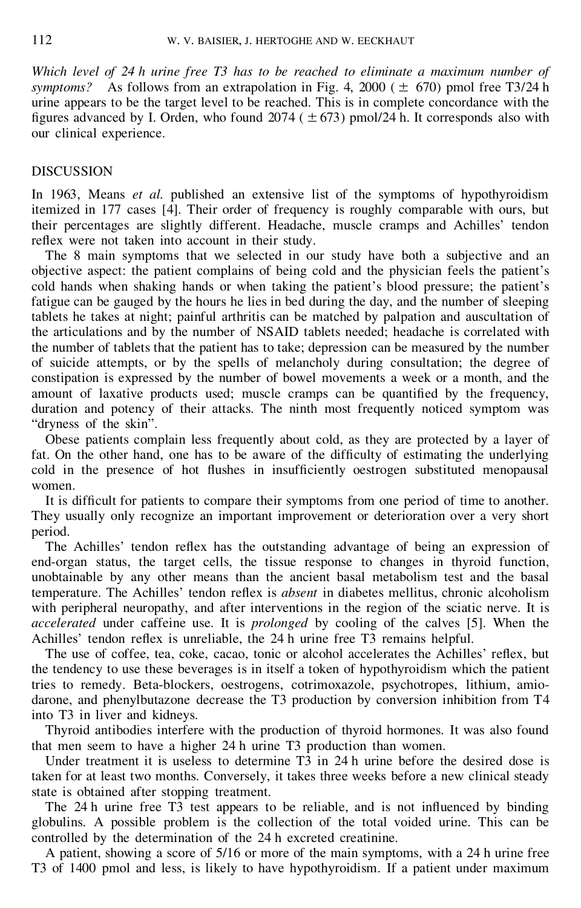*Which level of 24 h urine free T3 has to be reached to eliminate a maximum number of symptoms?* As follows from an extrapolation in Fig. 4, 2000 ( $\pm$  670) pmol free T3/24 h urine appears to be the target level to be reached. This is in complete concordance with the figures advanced by I. Orden, who found  $2074 (\pm 673)$  pmol/24 h. It corresponds also with our clinical experience.

# DISCUSSION

In 1963, Means *et al.* published an extensive list of the symptoms of hypothyroidism itemized in 177 cases [4]. Their order of frequency is roughly comparable with ours, but their percentages are slightly different. Headache, muscle cramps and Achilles' tendon reflex were not taken into account in their study.

The 8 main symptoms that we selected in our study have both a subjective and an objective aspect: the patient complains of being cold and the physician feels the patient's cold hands when shaking hands or when taking the patient's blood pressure; the patient's fatigue can be gauged by the hours he lies in bed during the day, and the number of sleeping tablets he takes at night; painful arthritis can be matched by palpation and auscultation of the articulations and by the number of NSAID tablets needed; headache is correlated with the number of tablets that the patient has to take; depression can be measured by the number of suicide attempts, or by the spells of melancholy during consultation; the degree of constipation is expressed by the number of bowel movements a week or a month, and the amount of laxative products used; muscle cramps can be quantified by the frequency, duration and potency of their attacks. The ninth most frequently noticed symptom was "dryness of the skin".

Obese patients complain less frequently about cold, as they are protected by a layer of fat. On the other hand, one has to be aware of the difficulty of estimating the underlying cold in the presence of hot flushes in insufficiently oestrogen substituted menopausal women.

It is difficult for patients to compare their symptoms from one period of time to another. They usually only recognize an important improvement or deterioration over a very short period.

The Achilles' tendon reflex has the outstanding advantage of being an expression of end-organ status, the target cells, the tissue response to changes in thyroid function, unobtainable by any other means than the ancient basal metabolism test and the basal temperature. The Achilles' tendon reflex is *absent* in diabetes mellitus, chronic alcoholism with peripheral neuropathy, and after interventions in the region of the sciatic nerve. It is *accelerated* under caffeine use. It is *prolonged* by cooling of the calves [5]. When the Achilles' tendon reflex is unreliable, the 24 h urine free T3 remains helpful.

The use of coffee, tea, coke, cacao, tonic or alcohol accelerates the Achilles' reflex, but the tendency to use these beverages is in itself a token of hypothyroidism which the patient tries to remedy. Beta-blockers, oestrogens, cotrimoxazole, psychotropes, lithium, amiodarone, and phenylbutazone decrease the T3 production by conversion inhibition from T4 into T3 in liver and kidneys.

Thyroid antibodies interfere with the production of thyroid hormones. It was also found that men seem to have a higher 24 h urine T3 production than women.

Under treatment it is useless to determine T3 in 24 h urine before the desired dose is taken for at least two months. Conversely, it takes three weeks before a new clinical steady state is obtained after stopping treatment.

The 24 h urine free T3 test appears to be reliable, and is not influenced by binding globulins. A possible problem is the collection of the total voided urine. This can be controlled by the determination of the 24 h excreted creatinine.

A patient, showing a score of 5/16 or more of the main symptoms, with a 24 h urine free T3 of 1400 pmol and less, is likely to have hypothyroidism. If a patient under maximum